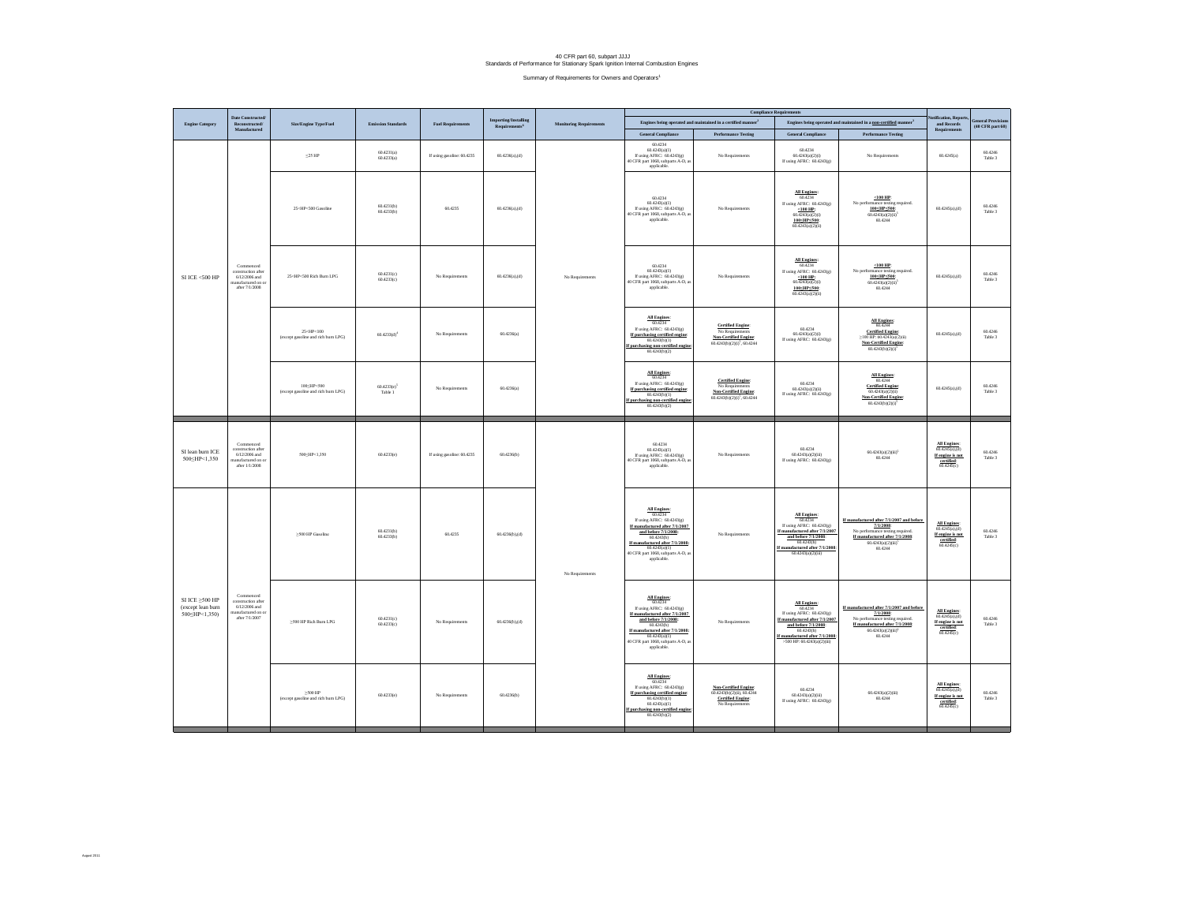## 40 CFR part 60, subpart JJJJ Standards of Performance for Stationary Spark Ignition Internal Combustion Engines

Summary of Requirements for Owners and Operators<sup>1</sup>

|                                                              | <b>Date Constructed</b>                                                                 |                                                                                                                                                                                                                                                                                                                                                                                                                                                                                                                                                                                                                                                                          |                                    |                            |                                                       |                                | <b>Compliance Requir</b>                                                                                                                                                                                                               |                                                                                                                 |                                                                                                                                                                                                |                                                                                                                                                                                             | tification, Repo                                                                                       | <b>General Provisions</b>     |
|--------------------------------------------------------------|-----------------------------------------------------------------------------------------|--------------------------------------------------------------------------------------------------------------------------------------------------------------------------------------------------------------------------------------------------------------------------------------------------------------------------------------------------------------------------------------------------------------------------------------------------------------------------------------------------------------------------------------------------------------------------------------------------------------------------------------------------------------------------|------------------------------------|----------------------------|-------------------------------------------------------|--------------------------------|----------------------------------------------------------------------------------------------------------------------------------------------------------------------------------------------------------------------------------------|-----------------------------------------------------------------------------------------------------------------|------------------------------------------------------------------------------------------------------------------------------------------------------------------------------------------------|---------------------------------------------------------------------------------------------------------------------------------------------------------------------------------------------|--------------------------------------------------------------------------------------------------------|-------------------------------|
| <b>Engine Category</b>                                       | $\frac{Reconstructed}{Manufactured}$                                                    | <b>Size/Engine Type/Fuel</b>                                                                                                                                                                                                                                                                                                                                                                                                                                                                                                                                                                                                                                             | <b>Emission Standards</b>          | <b>Fuel Requirements</b>   | <b>Importing/Installing</b><br>${\bf Requirements}^6$ | <b>Monitoring Requirements</b> |                                                                                                                                                                                                                                        | Engines being operated and maintained in a certified manner <sup>2</sup>                                        |                                                                                                                                                                                                | Engines being operated and maintained in a $\underline{\textbf{non-certified}}$ manner<br>$^3$                                                                                              | and Records<br><b>Requirements</b>                                                                     | $(40~\mathrm{CFR}$ part $60)$ |
| SI ICE <500 HP                                               | Commenced<br>construction after<br>6/12/2006 and<br>anufactured on o<br>after 7/1/2008  |                                                                                                                                                                                                                                                                                                                                                                                                                                                                                                                                                                                                                                                                          | 60.4231(a)                         |                            |                                                       | No Requirements                | <b>General Compliance</b><br>$60.4234$<br>$60.4243(a)(1)$                                                                                                                                                                              | <b>Performance Testing</b>                                                                                      | <b>General Compliance</b><br>60.4234                                                                                                                                                           | <b>Performance Testing</b>                                                                                                                                                                  |                                                                                                        | 60.4246                       |
|                                                              |                                                                                         | $\leq$ 25 HP                                                                                                                                                                                                                                                                                                                                                                                                                                                                                                                                                                                                                                                             | 60.4233(a)                         | If using gasoline: 60.4235 | 60.4236(a),(d)                                        |                                | If using AFRC: 60.4243(g)<br>40 CFR part 1068, subparts A-D, as<br>applicable.                                                                                                                                                         | No Requirements                                                                                                 | 60.4243(a)(2)(i)<br>If using AFRC: 60.4243(g)                                                                                                                                                  | No Requirements                                                                                                                                                                             | 60.4245(a)                                                                                             | Table 3                       |
|                                                              |                                                                                         | 25 <hp<500 gasoline<="" td=""><td>60.4231(b)<br/>60.4233(b)</td><td>60,4235</td><td><math>60.4236(a)</math>,(d)</td><td>60.4234<br/>60.4243(a)(1)<br/>If using AFRC: 60.4243(g)<br/>40 CFR part 1068, subparts A-D, as<br/>applicable.</td><td>No Requirements</td><td>All Engines:<br/>60.4234<br/>If using AFRC: 60.4243(g)<br/><math display="inline">&lt;</math> 100 HP:<br/>(0.4243(a)(2)(i)<br/>100<hp<500<br>60.4243(a)(2)(ii)</hp<500<br></td><td><math display="inline">&lt;</math> 100 HP:<br/>No per<br/>mance testing required.<br/>100<hp<500<br>60.4243(a)(2)(ii)<br/>60.4244</hp<500<br></td><td>60.4245(a).(d)</td><td>60.4246<br/>Table 3</td></hp<500> | 60.4231(b)<br>60.4233(b)           | 60,4235                    | $60.4236(a)$ ,(d)                                     |                                | 60.4234<br>60.4243(a)(1)<br>If using AFRC: 60.4243(g)<br>40 CFR part 1068, subparts A-D, as<br>applicable.                                                                                                                             | No Requirements                                                                                                 | All Engines:<br>60.4234<br>If using AFRC: 60.4243(g)<br>$<$ 100 HP:<br>(0.4243(a)(2)(i)<br>100 <hp<500<br>60.4243(a)(2)(ii)</hp<500<br>                                                        | $<$ 100 HP:<br>No per<br>mance testing required.<br>100 <hp<500<br>60.4243(a)(2)(ii)<br/>60.4244</hp<500<br>                                                                                | 60.4245(a).(d)                                                                                         | 60.4246<br>Table 3            |
|                                                              |                                                                                         | 25 <hp<500 burn="" lpg<="" rich="" td=""><td>60.4231(c)<br/>60.4233(c)</td><td>No Requirements</td><td>60.4236(a).(d)</td><td>60.4234<br/>60.4243(a)(1)<br/>If using AFRC: 60.4243(g)<br/>40 CFR part 1068, subparts A-D, a<br/>applicable.</td><td>No Requirements</td><td>All Engines:<br/>60.4234<br/>If using AFRC: 60.4243(g)<br/><math>\frac{&lt;100 \text{ HP}}{60.4243(a)(2)(i)}</math><br/>100<hp<500<br>60.4243(a)(2)(ii)</hp<500<br></td><td><math display="inline">&lt;</math> 100 HP:<br/>No performance testing required.<br/>100<hp<500<br>60.4243(a)(2)(ii)<br/>60.4244</hp<500<br></td><td>60.4245(a).(d)</td><td>60.4246<br/>Table 3</td></hp<500>     | 60.4231(c)<br>60.4233(c)           | No Requirements            | 60.4236(a).(d)                                        |                                | 60.4234<br>60.4243(a)(1)<br>If using AFRC: 60.4243(g)<br>40 CFR part 1068, subparts A-D, a<br>applicable.                                                                                                                              | No Requirements                                                                                                 | All Engines:<br>60.4234<br>If using AFRC: 60.4243(g)<br>$\frac{<100 \text{ HP}}{60.4243(a)(2)(i)}$<br>100 <hp<500<br>60.4243(a)(2)(ii)</hp<500<br>                                             | $<$ 100 HP:<br>No performance testing required.<br>100 <hp<500<br>60.4243(a)(2)(ii)<br/>60.4244</hp<500<br>                                                                                 | 60.4245(a).(d)                                                                                         | 60.4246<br>Table 3            |
|                                                              |                                                                                         | $25$ eHP $\!\!\leq\!\!100$<br>(except gasoline and rich burn LPG)                                                                                                                                                                                                                                                                                                                                                                                                                                                                                                                                                                                                        | 60.4233601                         | No Requirements            | 60.4236(a)                                            |                                | All Engines:<br>60.4234<br>If using AFRC: 60.4243(g)<br>If purchasing certified engine<br>60.4243(b)(1)<br>If purchasing non-certified engine<br>60.4243(b)(2)                                                                         | <b>Certified Engine:</b><br>No Requirements<br>Non-Certified Engine:<br>60.4243(b)(2)(j) <sup>5</sup> , 60.4244 | 60.4234<br>60.4243(a)(2)(i)<br>If using AFRC: 60.4243(g)                                                                                                                                       | $\frac{\text{All Engineers}}{60.4244}$<br>$\frac{\textbf{Certified Engine:}}{\geq 100 \text{ HP: } 60.4243 \text{(a)} \text{(2)} \text{(ii)}}$<br>Non-Certified Engine:<br>60.4243(b)(2)(i) | $60.4245(a)$ ,(d)                                                                                      | 60.4246<br>Table 3            |
|                                                              |                                                                                         | 100 <hp<500<br>(except gasoline and rich burn LPG)</hp<500<br>                                                                                                                                                                                                                                                                                                                                                                                                                                                                                                                                                                                                           | 60.4233(e) <sup>2</sup><br>Table 1 | No Requirements            | 604236(a)                                             |                                | $\frac{\text{All Engineers:}}{60.4234}$<br>If using AFRC: 60.4243(g)<br>If purchasing certified engine:<br>60.4243(b)(1)<br>If purchasing non-certified engine<br>$60.4243(b)(2)$                                                      | <b>Certified Engine:</b><br>No Requirements<br>Non-Certified Engine:<br>$(60.4243(b)(2)(i)^5, 60.4244)$         | 60.4234<br>$60.4243(a)(2)(ii)$<br>If using AFRC: $60.4243(g)$                                                                                                                                  | $\frac{\text{All Engineers}}{60.4244}$<br><b>Certified Engine:</b><br>60.4243(a)(2)(ii)<br>Non-Certified Engine:<br>60.4243(b)(2)(i)                                                        | 60.4245(a) (d)                                                                                         | 60.4246<br>Table 3            |
| SI lean burn ICE<br>500≤HP<1,350                             | Commenced<br>construction after<br>6/12/2006 and<br>nanufactured on o<br>after 1/1/2008 | 500 <hp<1.350< td=""><td>60.4233(e)</td><td>If using gasoline: 60.4235</td><td>60.4236(b)</td><td rowspan="4">No Requirements</td><td>60.4234<br/>60.4243(a)(1)<br/>If using AFRC: <math>60.4243(g)</math><br/>40 CFR part 1068, subparts A-D, as<br/>applicable.</td><td>No Requirements</td><td>60.4234<br/>60.4243(a)(2)(iii)<br/>If using AFRC: 60.4243(g)</td><td><math>60.4243(a)(2)(iii)^5</math><br/>60.4244</td><td>All Engines:<br/><math>60.4245(a)</math>,(d)<br/>If engine is not<br/>certified:<br/>60.4245(c)</td><td>60.4246<br/>Table 3</td></hp<1.350<>                                                                                                | 60.4233(e)                         | If using gasoline: 60.4235 | 60.4236(b)                                            | No Requirements                | 60.4234<br>60.4243(a)(1)<br>If using AFRC: $60.4243(g)$<br>40 CFR part 1068, subparts A-D, as<br>applicable.                                                                                                                           | No Requirements                                                                                                 | 60.4234<br>60.4243(a)(2)(iii)<br>If using AFRC: 60.4243(g)                                                                                                                                     | $60.4243(a)(2)(iii)^5$<br>60.4244                                                                                                                                                           | All Engines:<br>$60.4245(a)$ ,(d)<br>If engine is not<br>certified:<br>60.4245(c)                      | 60.4246<br>Table 3            |
| SI ICE $\geq$ 500 HP<br>(except lean burn<br>500 HP < 1,350) | Commenced<br>construction after<br>6/12/2006 and<br>anufactured on o<br>after 7/1/2007  | $\geq\!500$ HP Gasoline                                                                                                                                                                                                                                                                                                                                                                                                                                                                                                                                                                                                                                                  | 60.4231(b)<br>60.4233(b)           | 60,4235                    | 60.4236(b).(d)                                        |                                | All Engines:<br>60.4234<br>If using AFRC: $60.4243(g)$<br>If manufactured after 7/1/2007<br>and before 7/1/2008:<br>60.4243(h)<br>If manufactured after 7/1/2008<br>60.4243(a)(1)<br>40 CFR part 1068, subparts A-D, as<br>applicable. | No Requirements                                                                                                 | All Engines:<br>60.4234<br>If using AFRC: 60.4243(g)<br>If manufactured after 7/1/2007<br>and before 7/1/2008:<br>60.4243(h)<br>If manufactured after 7/1/2008:<br>60.4243(a)(2)(iii)          | If manufactured after 7/1/2007 and before<br>7/1/2008:<br>No performance testing required<br>If manufactured after 7/1/2008:<br>$60.4243(a)(2)(iii)^5$<br>60.4244                           | $\frac{\textbf{All Engineers:}}{60.4245\text{(a),(d)}}$<br>If engine is not<br>certified<br>60.4245(c) | 60.4246<br>Table 3            |
|                                                              |                                                                                         | $\geq\!500$ HP Rich Bum LPG                                                                                                                                                                                                                                                                                                                                                                                                                                                                                                                                                                                                                                              | 60.4231(c)<br>60.4233(c)           | No Requirements            | $60.4236(b)$ (d)                                      |                                | All Engines:<br>60.4234<br>If using AFRC: 60.4243(g)<br>If manufactured after 7/1/2007<br>and before 7/1/2008:<br>60.4243(h)<br>If manufactured after 7/1/2008:<br>60.4243(a)(1)<br>40 CFR part 1068, subparts A-D, as<br>applicable.  | No Requirements                                                                                                 | All Engines:<br>60.4734<br>If using AFRC: 60.4243(g)<br>If manufactured after 7/1/2007<br>and before 7/1/2008:<br>60.4243(h)<br>If manufactured after 7/1/2008:<br>5500 HP: 60.4243(a)(2)(iii) | If manufactured after 7/1/2007 and before<br>7/1/2008:<br>No performance testing req<br>henim<br>If manufactured after 7/1/2008:<br>60.4243(a)(2)(iii) <sup>6</sup><br>60.4244              | All Engines:<br>60.4245(a).(d)<br>If engine is not<br>certified:<br>60.4245(c)                         | 60.4246<br>Table 3            |
|                                                              |                                                                                         | $>500$ HP<br>(except gasoline and rich burn LPG)                                                                                                                                                                                                                                                                                                                                                                                                                                                                                                                                                                                                                         | 60.4233(e)                         | No Requirements            | 60.4236(b)                                            |                                | All Engines:<br>60.4234<br>If using AFRC: 60.4243(g)<br>If purchasing certified engine:<br>60.4243(b)(1)<br>60.4243(a)(1)<br>If purchasing non-certified engine<br>60.4243(b)(2)                                                       | $\frac{\textbf{Non-Certified Engine:}}{60.4243(b)(2)(ii), 60.4244}$<br><b>Certified Engine:</b><br>No Require   | 60.4234<br>60.4243(a)(2)(iii)<br>If using AFRC: 60.4243(g)                                                                                                                                     | 60.4243(a)(2)(iii)<br>60.4244                                                                                                                                                               | All Engines:<br>$60.4245(a)$ , $(d)$<br>If engine is not<br>certified:<br>60.4245(c)                   | 60.4246<br>Table 3            |